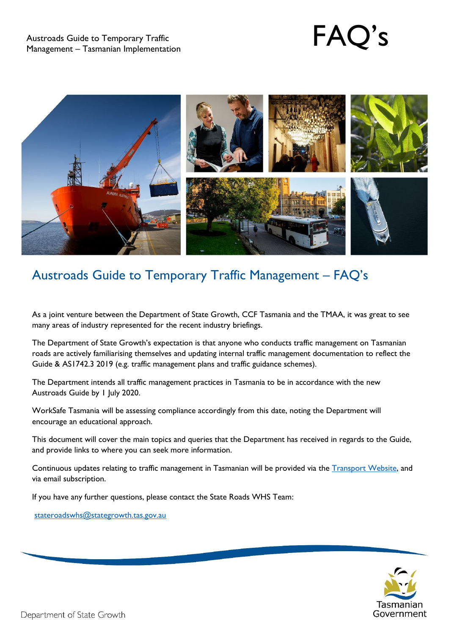

# Austroads Guide to Temporary Traffic Management – FAQ's

As a joint venture between the Department of State Growth, CCF Tasmania and the TMAA, it was great to see many areas of industry represented for the recent industry briefings.

The Department of State Growth's expectation is that anyone who conducts traffic management on Tasmanian roads are actively familiarising themselves and updating internal traffic management documentation to reflect the Guide & AS1742.3 2019 (e.g. traffic management plans and traffic guidance schemes).

The Department intends all traffic management practices in Tasmania to be in accordance with the new Austroads Guide by 1 July 2020.

WorkSafe Tasmania will be assessing compliance accordingly from this date, noting the Department will encourage an educational approach.

This document will cover the main topics and queries that the Department has received in regards to the Guide, and provide links to where you can seek more information.

Continuous updates relating to traffic management in Tasmanian will be provided via the [Transport Website,](https://www.transport.tas.gov.au/road/contractor/trafficguides) and via email subscription.

If you have any further questions, please contact the State Roads WHS Team:

[stateroadswhs@stategrowth.tas.gov.au](mailto:stateroadswhs@stategrowth.tas.gov.au)

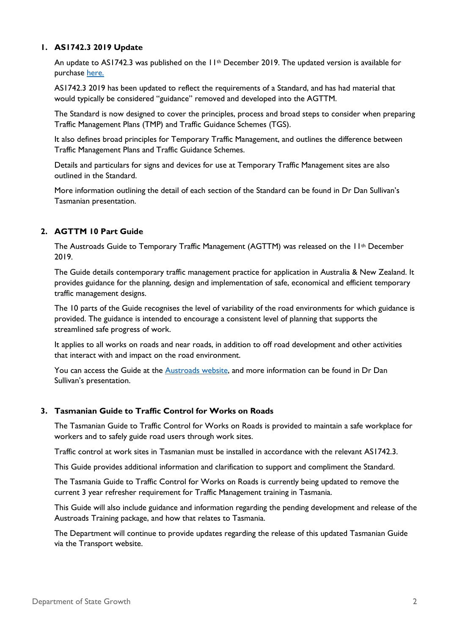# **1. AS1742.3 2019 Update**

An update to AS1742.3 was published on the 11<sup>th</sup> December 2019. The updated version is available for purchase [here.](https://infostore.saiglobal.com/en-au/Standards/AS-1742-3-2019-126126_SAIG_AS_AS_2790410/)

AS1742.3 2019 has been updated to reflect the requirements of a Standard, and has had material that would typically be considered "guidance" removed and developed into the AGTTM.

The Standard is now designed to cover the principles, process and broad steps to consider when preparing Traffic Management Plans (TMP) and Traffic Guidance Schemes (TGS).

It also defines broad principles for Temporary Traffic Management, and outlines the difference between Traffic Management Plans and Traffic Guidance Schemes.

Details and particulars for signs and devices for use at Temporary Traffic Management sites are also outlined in the Standard.

More information outlining the detail of each section of the Standard can be found in Dr Dan Sullivan's Tasmanian presentation.

#### **2. AGTTM 10 Part Guide**

The Austroads Guide to Temporary Traffic Management (AGTTM) was released on the 11<sup>th</sup> December 2019.

The Guide details contemporary traffic management practice for application in Australia & New Zealand. It provides guidance for the planning, design and implementation of safe, economical and efficient temporary traffic management designs.

The 10 parts of the Guide recognises the level of variability of the road environments for which guidance is provided. The guidance is intended to encourage a consistent level of planning that supports the streamlined safe progress of work.

It applies to all works on roads and near roads, in addition to off road development and other activities that interact with and impact on the road environment.

You can access the Guide at the [Austroads website,](https://austroads.com.au/network-operations/network-management/temporary-traffic-management) and more information can be found in Dr Dan Sullivan's presentation.

### **3. Tasmanian Guide to Traffic Control for Works on Roads**

The Tasmanian Guide to Traffic Control for Works on Roads is provided to maintain a safe workplace for workers and to safely guide road users through work sites.

Traffic control at work sites in Tasmanian must be installed in accordance with the relevant AS1742.3.

This Guide provides additional information and clarification to support and compliment the Standard.

The Tasmania Guide to Traffic Control for Works on Roads is currently being updated to remove the current 3 year refresher requirement for Traffic Management training in Tasmania.

This Guide will also include guidance and information regarding the pending development and release of the Austroads Training package, and how that relates to Tasmania.

The Department will continue to provide updates regarding the release of this updated Tasmanian Guide via the Transport website.